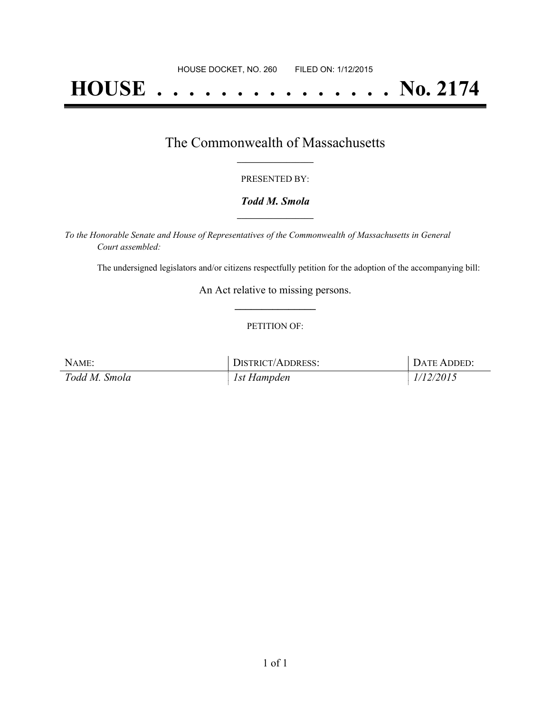# **HOUSE . . . . . . . . . . . . . . . No. 2174**

### The Commonwealth of Massachusetts **\_\_\_\_\_\_\_\_\_\_\_\_\_\_\_\_\_**

#### PRESENTED BY:

#### *Todd M. Smola* **\_\_\_\_\_\_\_\_\_\_\_\_\_\_\_\_\_**

*To the Honorable Senate and House of Representatives of the Commonwealth of Massachusetts in General Court assembled:*

The undersigned legislators and/or citizens respectfully petition for the adoption of the accompanying bill:

An Act relative to missing persons. **\_\_\_\_\_\_\_\_\_\_\_\_\_\_\_**

#### PETITION OF:

| NAME:         | <b>DISTRICT/ADDRESS:</b> | DATE ADDED: |
|---------------|--------------------------|-------------|
| Todd M. Smola | 1st Hampden              | 1/12/2015   |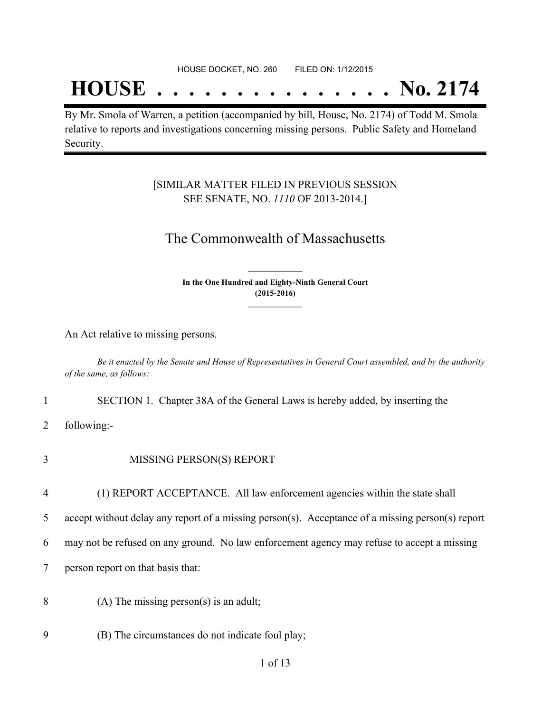## **HOUSE . . . . . . . . . . . . . . . No. 2174**

By Mr. Smola of Warren, a petition (accompanied by bill, House, No. 2174) of Todd M. Smola relative to reports and investigations concerning missing persons. Public Safety and Homeland Security.

#### [SIMILAR MATTER FILED IN PREVIOUS SESSION SEE SENATE, NO. *1110* OF 2013-2014.]

#### The Commonwealth of Massachusetts

**In the One Hundred and Eighty-Ninth General Court (2015-2016) \_\_\_\_\_\_\_\_\_\_\_\_\_\_\_**

**\_\_\_\_\_\_\_\_\_\_\_\_\_\_\_**

An Act relative to missing persons.

Be it enacted by the Senate and House of Representatives in General Court assembled, and by the authority *of the same, as follows:*

1 SECTION 1. Chapter 38A of the General Laws is hereby added, by inserting the

2 following:-

- 3 MISSING PERSON(S) REPORT
- 4 (1) REPORT ACCEPTANCE. All law enforcement agencies within the state shall

5 accept without delay any report of a missing person(s). Acceptance of a missing person(s) report

6 may not be refused on any ground. No law enforcement agency may refuse to accept a missing

7 person report on that basis that:

- 8 (A) The missing person(s) is an adult;
- 9 (B) The circumstances do not indicate foul play;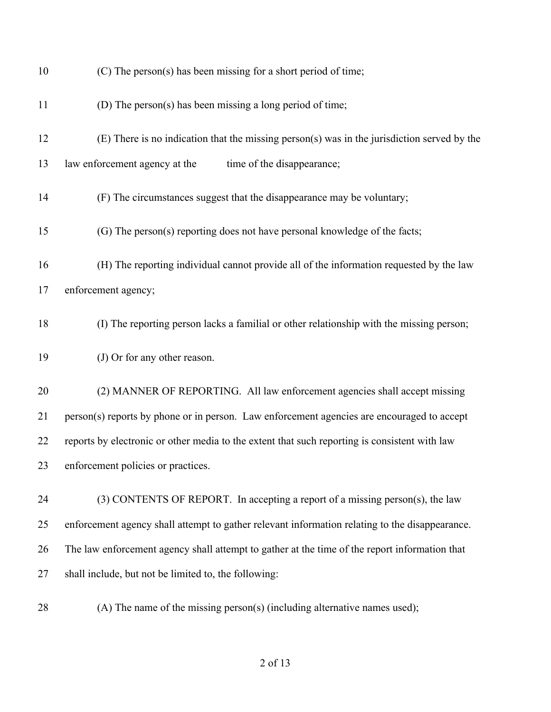| 10 | (C) The person(s) has been missing for a short period of time;                                 |
|----|------------------------------------------------------------------------------------------------|
| 11 | (D) The person(s) has been missing a long period of time;                                      |
| 12 | (E) There is no indication that the missing person(s) was in the jurisdiction served by the    |
| 13 | law enforcement agency at the<br>time of the disappearance;                                    |
| 14 | (F) The circumstances suggest that the disappearance may be voluntary;                         |
| 15 | (G) The person(s) reporting does not have personal knowledge of the facts;                     |
| 16 | (H) The reporting individual cannot provide all of the information requested by the law        |
| 17 | enforcement agency;                                                                            |
| 18 | (I) The reporting person lacks a familial or other relationship with the missing person;       |
| 19 | (J) Or for any other reason.                                                                   |
| 20 | (2) MANNER OF REPORTING. All law enforcement agencies shall accept missing                     |
| 21 | person(s) reports by phone or in person. Law enforcement agencies are encouraged to accept     |
| 22 | reports by electronic or other media to the extent that such reporting is consistent with law  |
| 23 | enforcement policies or practices.                                                             |
| 24 | (3) CONTENTS OF REPORT. In accepting a report of a missing person(s), the law                  |
| 25 | enforcement agency shall attempt to gather relevant information relating to the disappearance. |
| 26 | The law enforcement agency shall attempt to gather at the time of the report information that  |
| 27 | shall include, but not be limited to, the following:                                           |
| 28 | (A) The name of the missing person(s) (including alternative names used);                      |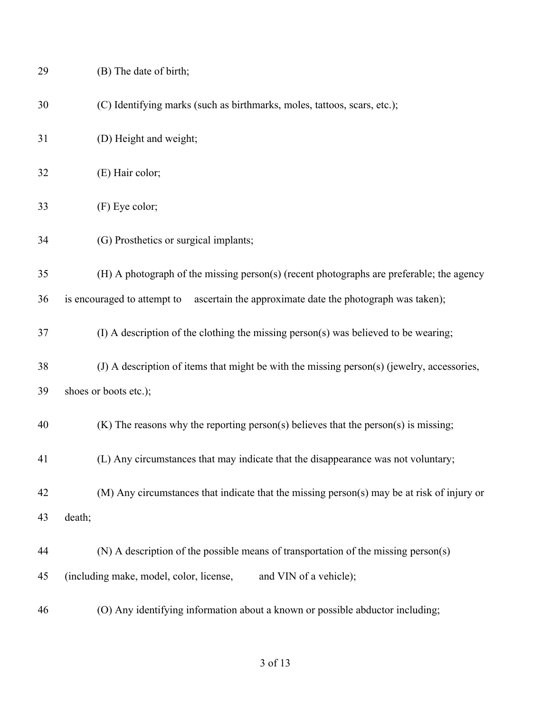| 29 | (B) The date of birth;                                                                     |
|----|--------------------------------------------------------------------------------------------|
| 30 | (C) Identifying marks (such as birthmarks, moles, tattoos, scars, etc.);                   |
| 31 | (D) Height and weight;                                                                     |
| 32 | (E) Hair color;                                                                            |
| 33 | (F) Eye color;                                                                             |
| 34 | (G) Prosthetics or surgical implants;                                                      |
| 35 | (H) A photograph of the missing person(s) (recent photographs are preferable; the agency   |
| 36 | is encouraged to attempt to<br>ascertain the approximate date the photograph was taken);   |
| 37 | (I) A description of the clothing the missing person(s) was believed to be wearing;        |
| 38 | (J) A description of items that might be with the missing person(s) (jewelry, accessories, |
| 39 | shoes or boots etc.);                                                                      |
| 40 | $(K)$ The reasons why the reporting person(s) believes that the person(s) is missing;      |
| 41 | (L) Any circumstances that may indicate that the disappearance was not voluntary;          |
| 42 | (M) Any circumstances that indicate that the missing person(s) may be at risk of injury or |
| 43 | death;                                                                                     |
| 44 | (N) A description of the possible means of transportation of the missing person(s)         |
| 45 | (including make, model, color, license,<br>and VIN of a vehicle);                          |
| 46 | (O) Any identifying information about a known or possible abductor including;              |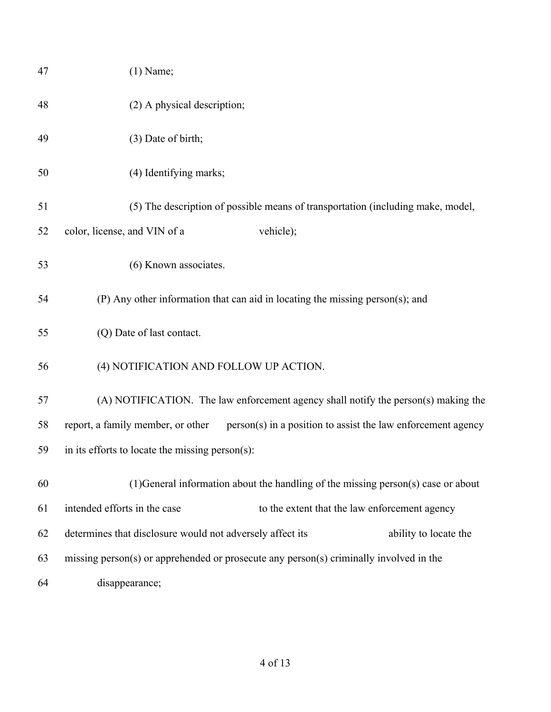| 47 | $(1)$ Name;                                                                                       |
|----|---------------------------------------------------------------------------------------------------|
| 48 | (2) A physical description;                                                                       |
| 49 | (3) Date of birth;                                                                                |
| 50 | (4) Identifying marks;                                                                            |
| 51 | (5) The description of possible means of transportation (including make, model,                   |
| 52 | color, license, and VIN of a<br>vehicle);                                                         |
| 53 | (6) Known associates.                                                                             |
| 54 | (P) Any other information that can aid in locating the missing person(s); and                     |
| 55 | (Q) Date of last contact.                                                                         |
| 56 | (4) NOTIFICATION AND FOLLOW UP ACTION.                                                            |
| 57 | (A) NOTIFICATION. The law enforcement agency shall notify the person(s) making the                |
| 58 | report, a family member, or other<br>person(s) in a position to assist the law enforcement agency |
| 59 | in its efforts to locate the missing person(s):                                                   |
| 60 | (1) General information about the handling of the missing person(s) case or about                 |
| 61 | intended efforts in the case<br>to the extent that the law enforcement agency                     |
| 62 | determines that disclosure would not adversely affect its<br>ability to locate the                |
| 63 | missing person(s) or apprehended or prosecute any person(s) criminally involved in the            |
| 64 | disappearance;                                                                                    |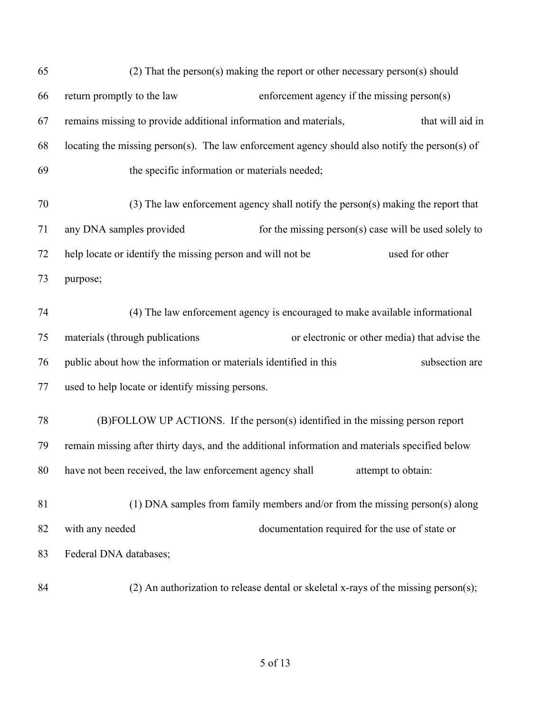| 65 | $(2)$ That the person(s) making the report or other necessary person(s) should                 |
|----|------------------------------------------------------------------------------------------------|
| 66 | return promptly to the law<br>enforcement agency if the missing person(s)                      |
| 67 | remains missing to provide additional information and materials,<br>that will aid in           |
| 68 | locating the missing person(s). The law enforcement agency should also notify the person(s) of |
| 69 | the specific information or materials needed;                                                  |
| 70 | $(3)$ The law enforcement agency shall notify the person(s) making the report that             |
| 71 | any DNA samples provided<br>for the missing person(s) case will be used solely to              |
| 72 | help locate or identify the missing person and will not be<br>used for other                   |
| 73 | purpose;                                                                                       |
| 74 | (4) The law enforcement agency is encouraged to make available informational                   |
| 75 | materials (through publications<br>or electronic or other media) that advise the               |
| 76 | public about how the information or materials identified in this<br>subsection are             |
| 77 | used to help locate or identify missing persons.                                               |
| 78 | (B)FOLLOW UP ACTIONS. If the person(s) identified in the missing person report                 |
| 79 | remain missing after thirty days, and the additional information and materials specified below |
|    | 80 have not been received, the law enforcement agency shall attempt to obtain:                 |
| 81 | (1) DNA samples from family members and/or from the missing person(s) along                    |
| 82 | documentation required for the use of state or<br>with any needed                              |
| 83 | Federal DNA databases;                                                                         |
| 84 | $(2)$ An authorization to release dental or skeletal x-rays of the missing person(s);          |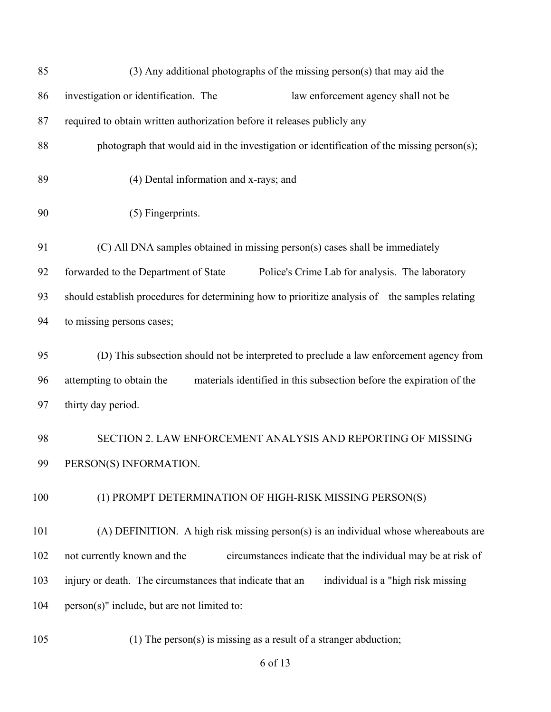| 85  | $(3)$ Any additional photographs of the missing person(s) that may aid the                       |
|-----|--------------------------------------------------------------------------------------------------|
| 86  | investigation or identification. The<br>law enforcement agency shall not be                      |
| 87  | required to obtain written authorization before it releases publicly any                         |
| 88  | photograph that would aid in the investigation or identification of the missing person(s);       |
| 89  | (4) Dental information and x-rays; and                                                           |
| 90  | (5) Fingerprints.                                                                                |
| 91  | (C) All DNA samples obtained in missing person(s) cases shall be immediately                     |
| 92  | forwarded to the Department of State<br>Police's Crime Lab for analysis. The laboratory          |
| 93  | should establish procedures for determining how to prioritize analysis of the samples relating   |
| 94  | to missing persons cases;                                                                        |
| 95  | (D) This subsection should not be interpreted to preclude a law enforcement agency from          |
| 96  | attempting to obtain the<br>materials identified in this subsection before the expiration of the |
| 97  | thirty day period.                                                                               |
| 98  | SECTION 2. LAW ENFORCEMENT ANALYSIS AND REPORTING OF MISSING                                     |
| 99  | PERSON(S) INFORMATION.                                                                           |
| 100 | (1) PROMPT DETERMINATION OF HIGH-RISK MISSING PERSON(S)                                          |
| 101 | (A) DEFINITION. A high risk missing person(s) is an individual whose whereabouts are             |
| 102 | circumstances indicate that the individual may be at risk of<br>not currently known and the      |
| 103 | injury or death. The circumstances that indicate that an<br>individual is a "high risk missing"  |
| 104 | person(s)" include, but are not limited to:                                                      |
| 105 | (1) The person(s) is missing as a result of a stranger abduction;                                |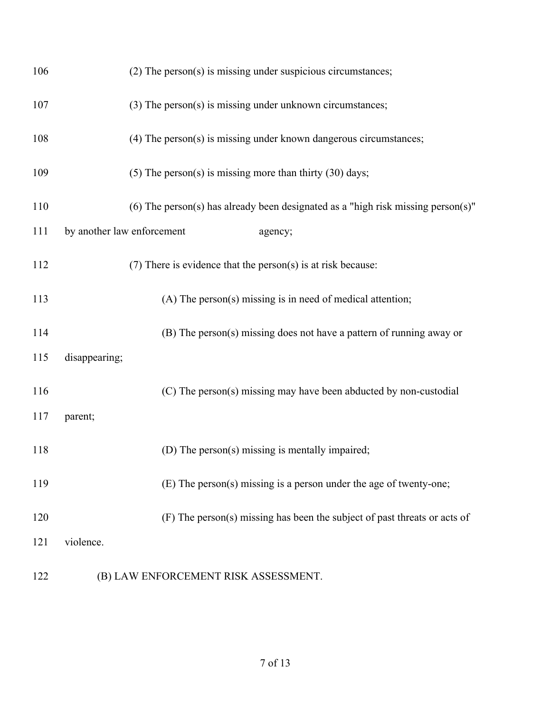| 106 | (2) The person(s) is missing under suspicious circumstances;                     |
|-----|----------------------------------------------------------------------------------|
| 107 | $(3)$ The person $(s)$ is missing under unknown circumstances;                   |
| 108 | $(4)$ The person $(s)$ is missing under known dangerous circumstances;           |
| 109 | $(5)$ The person(s) is missing more than thirty $(30)$ days;                     |
| 110 | (6) The person(s) has already been designated as a "high risk missing person(s)" |
| 111 | by another law enforcement<br>agency;                                            |
| 112 | $(7)$ There is evidence that the person $(s)$ is at risk because:                |
| 113 | (A) The person(s) missing is in need of medical attention;                       |
| 114 | (B) The person(s) missing does not have a pattern of running away or             |
| 115 | disappearing;                                                                    |
| 116 | (C) The person(s) missing may have been abducted by non-custodial                |
| 117 | parent;                                                                          |
| 118 | (D) The person(s) missing is mentally impaired;                                  |
| 119 | (E) The person(s) missing is a person under the age of twenty-one;               |
| 120 | (F) The person(s) missing has been the subject of past threats or acts of        |
| 121 | violence.                                                                        |
|     |                                                                                  |

(B) LAW ENFORCEMENT RISK ASSESSMENT.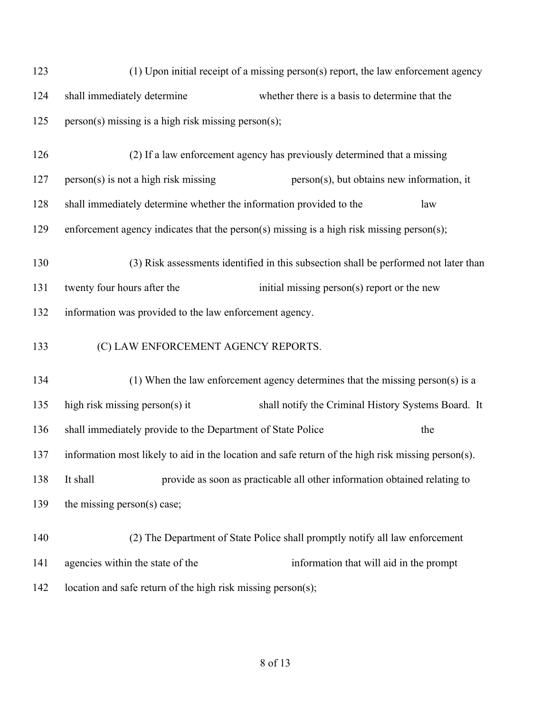| 123 | (1) Upon initial receipt of a missing person(s) report, the law enforcement agency |                                                                                                    |  |
|-----|------------------------------------------------------------------------------------|----------------------------------------------------------------------------------------------------|--|
| 124 | shall immediately determine<br>whether there is a basis to determine that the      |                                                                                                    |  |
| 125 | person(s) missing is a high risk missing person(s);                                |                                                                                                    |  |
| 126 |                                                                                    | (2) If a law enforcement agency has previously determined that a missing                           |  |
| 127 | $person(s)$ is not a high risk missing                                             | person(s), but obtains new information, it                                                         |  |
| 128 | shall immediately determine whether the information provided to the                | law                                                                                                |  |
| 129 |                                                                                    | enforcement agency indicates that the person(s) missing is a high risk missing person(s);          |  |
| 130 |                                                                                    | (3) Risk assessments identified in this subsection shall be performed not later than               |  |
| 131 | twenty four hours after the                                                        | initial missing person(s) report or the new                                                        |  |
| 132 | information was provided to the law enforcement agency.                            |                                                                                                    |  |
| 133 | (C) LAW ENFORCEMENT AGENCY REPORTS.                                                |                                                                                                    |  |
| 134 |                                                                                    | (1) When the law enforcement agency determines that the missing person(s) is a                     |  |
| 135 | high risk missing person(s) it                                                     | shall notify the Criminal History Systems Board. It                                                |  |
| 136 | shall immediately provide to the Department of State Police                        | the                                                                                                |  |
| 137 |                                                                                    | information most likely to aid in the location and safe return of the high risk missing person(s). |  |
| 138 | It shall                                                                           | provide as soon as practicable all other information obtained relating to                          |  |
| 139 | the missing person(s) case;                                                        |                                                                                                    |  |
| 140 |                                                                                    | (2) The Department of State Police shall promptly notify all law enforcement                       |  |
|     |                                                                                    |                                                                                                    |  |

142 location and safe return of the high risk missing person(s);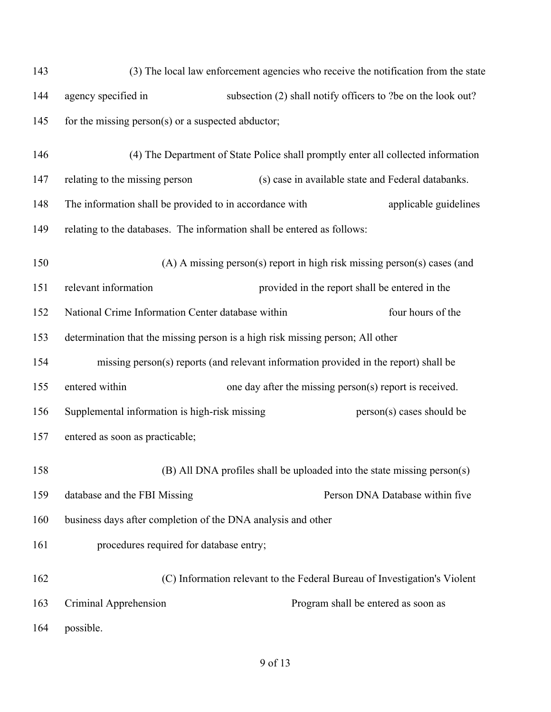| 143 | (3) The local law enforcement agencies who receive the notification from the state   |  |                                                                           |
|-----|--------------------------------------------------------------------------------------|--|---------------------------------------------------------------------------|
| 144 | subsection (2) shall notify officers to ?be on the look out?<br>agency specified in  |  |                                                                           |
| 145 | for the missing person(s) or a suspected abductor;                                   |  |                                                                           |
| 146 | (4) The Department of State Police shall promptly enter all collected information    |  |                                                                           |
| 147 | relating to the missing person                                                       |  | (s) case in available state and Federal databanks.                        |
| 148 | The information shall be provided to in accordance with                              |  | applicable guidelines                                                     |
| 149 | relating to the databases. The information shall be entered as follows:              |  |                                                                           |
| 150 |                                                                                      |  | (A) A missing person(s) report in high risk missing person(s) cases (and  |
| 151 | relevant information                                                                 |  | provided in the report shall be entered in the                            |
| 152 | National Crime Information Center database within                                    |  | four hours of the                                                         |
| 153 | determination that the missing person is a high risk missing person; All other       |  |                                                                           |
| 154 | missing person(s) reports (and relevant information provided in the report) shall be |  |                                                                           |
| 155 | entered within                                                                       |  | one day after the missing person(s) report is received.                   |
| 156 | Supplemental information is high-risk missing                                        |  | person(s) cases should be                                                 |
| 157 | entered as soon as practicable;                                                      |  |                                                                           |
| 158 |                                                                                      |  | (B) All DNA profiles shall be uploaded into the state missing person(s)   |
| 159 | database and the FBI Missing                                                         |  | Person DNA Database within five                                           |
| 160 | business days after completion of the DNA analysis and other                         |  |                                                                           |
| 161 | procedures required for database entry;                                              |  |                                                                           |
| 162 |                                                                                      |  | (C) Information relevant to the Federal Bureau of Investigation's Violent |
| 163 | Criminal Apprehension                                                                |  | Program shall be entered as soon as                                       |
| 164 | possible.                                                                            |  |                                                                           |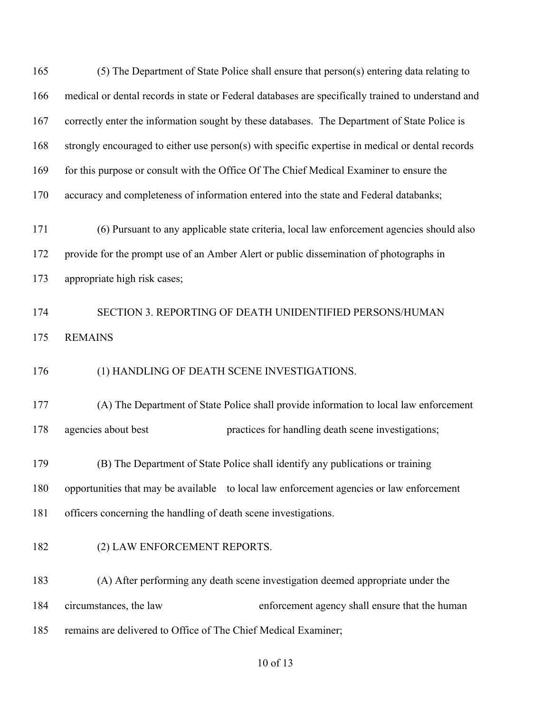| 165 | (5) The Department of State Police shall ensure that person(s) entering data relating to           |
|-----|----------------------------------------------------------------------------------------------------|
| 166 | medical or dental records in state or Federal databases are specifically trained to understand and |
| 167 | correctly enter the information sought by these databases. The Department of State Police is       |
| 168 | strongly encouraged to either use person(s) with specific expertise in medical or dental records   |
| 169 | for this purpose or consult with the Office Of The Chief Medical Examiner to ensure the            |
| 170 | accuracy and completeness of information entered into the state and Federal databanks;             |
| 171 | (6) Pursuant to any applicable state criteria, local law enforcement agencies should also          |
| 172 | provide for the prompt use of an Amber Alert or public dissemination of photographs in             |
| 173 | appropriate high risk cases;                                                                       |
| 174 | SECTION 3. REPORTING OF DEATH UNIDENTIFIED PERSONS/HUMAN                                           |
| 175 | <b>REMAINS</b>                                                                                     |
| 176 | (1) HANDLING OF DEATH SCENE INVESTIGATIONS.                                                        |
| 177 | (A) The Department of State Police shall provide information to local law enforcement              |
| 178 | agencies about best<br>practices for handling death scene investigations;                          |
| 179 | (B) The Department of State Police shall identify any publications or training                     |
| 180 | opportunities that may be available to local law enforcement agencies or law enforcement           |
| 181 | officers concerning the handling of death scene investigations.                                    |
| 182 | (2) LAW ENFORCEMENT REPORTS.                                                                       |
| 183 | (A) After performing any death scene investigation deemed appropriate under the                    |
| 184 | circumstances, the law<br>enforcement agency shall ensure that the human                           |
| 185 | remains are delivered to Office of The Chief Medical Examiner;                                     |
|     |                                                                                                    |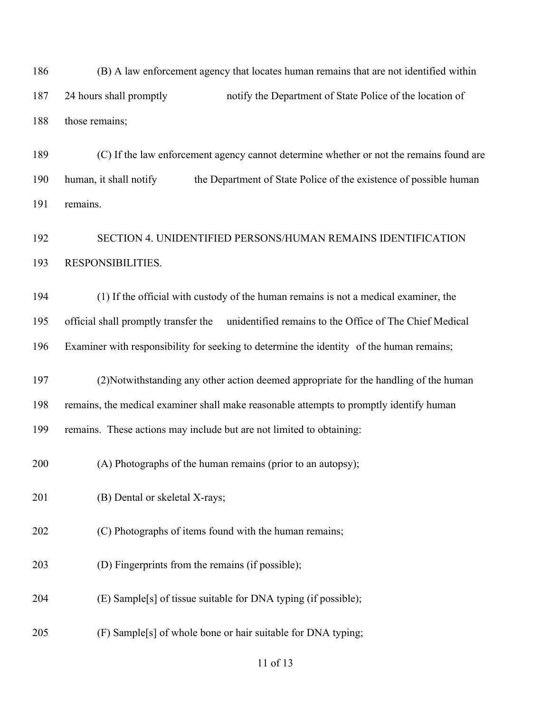(B) A law enforcement agency that locates human remains that are not identified within 24 hours shall promptly notify the Department of State Police of the location of those remains;

 (C) If the law enforcement agency cannot determine whether or not the remains found are 190 human, it shall notify the Department of State Police of the existence of possible human remains.

## SECTION 4. UNIDENTIFIED PERSONS/HUMAN REMAINS IDENTIFICATION RESPONSIBILITIES.

 (1) If the official with custody of the human remains is not a medical examiner, the official shall promptly transfer the unidentified remains to the Office of The Chief Medical Examiner with responsibility for seeking to determine the identity of the human remains;

 (2)Notwithstanding any other action deemed appropriate for the handling of the human remains, the medical examiner shall make reasonable attempts to promptly identify human

remains. These actions may include but are not limited to obtaining:

(A) Photographs of the human remains (prior to an autopsy);

(B) Dental or skeletal X-rays;

(C) Photographs of items found with the human remains;

(D) Fingerprints from the remains (if possible);

(E) Sample[s] of tissue suitable for DNA typing (if possible);

(F) Sample[s] of whole bone or hair suitable for DNA typing;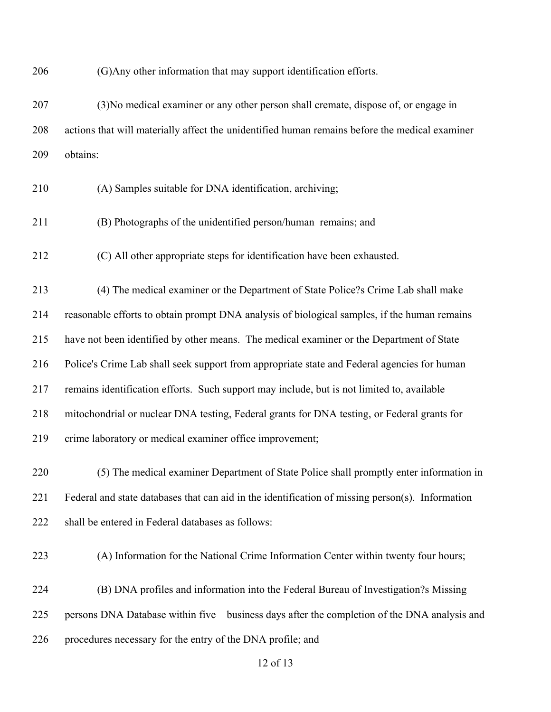(G)Any other information that may support identification efforts.

 (3)No medical examiner or any other person shall cremate, dispose of, or engage in actions that will materially affect the unidentified human remains before the medical examiner obtains:

- (A) Samples suitable for DNA identification, archiving;
- (B) Photographs of the unidentified person/human remains; and
- (C) All other appropriate steps for identification have been exhausted.

 (4) The medical examiner or the Department of State Police?s Crime Lab shall make reasonable efforts to obtain prompt DNA analysis of biological samples, if the human remains have not been identified by other means. The medical examiner or the Department of State Police's Crime Lab shall seek support from appropriate state and Federal agencies for human remains identification efforts. Such support may include, but is not limited to, available mitochondrial or nuclear DNA testing, Federal grants for DNA testing, or Federal grants for crime laboratory or medical examiner office improvement;

 (5) The medical examiner Department of State Police shall promptly enter information in Federal and state databases that can aid in the identification of missing person(s). Information shall be entered in Federal databases as follows:

(A) Information for the National Crime Information Center within twenty four hours;

 (B) DNA profiles and information into the Federal Bureau of Investigation?s Missing persons DNA Database within five business days after the completion of the DNA analysis and procedures necessary for the entry of the DNA profile; and